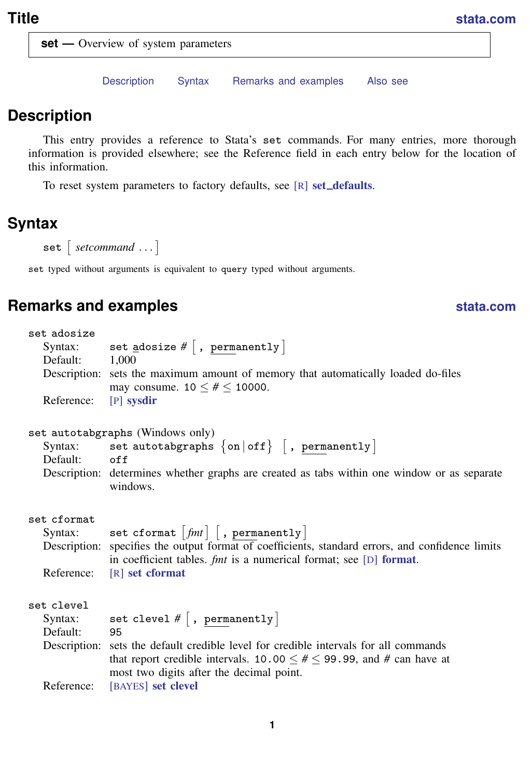<span id="page-0-3"></span>**set** — Overview of system parameters

[Description](#page-0-0) [Syntax](#page-0-1) [Remarks and examples](#page-0-2) [Also see](#page-14-0)

# <span id="page-0-0"></span>**Description**

This entry provides a reference to Stata's set commands. For many entries, more thorough information is provided elsewhere; see the Reference field in each entry below for the location of this information.

<span id="page-0-1"></span>To reset system parameters to factory [defaults](https://www.stata.com/manuals/rset_defaults.pdf#rset_defaults), see  $[R]$  set\_defaults.

# **Syntax**

 $\mathsf{set}$   $[$  setcommand  $\dots]$ 

<span id="page-0-2"></span>set typed without arguments is equivalent to query typed without arguments.

# **Remarks and examples [stata.com](http://stata.com)**

```
set adosize
   \texttt{Syntax:}\qquad \texttt{set} \texttt{adosize} \;\#\; \lceil \texttt{, permanently} \rceilDefault: 1,000
   Description: sets the maximum amount of memory that automatically loaded do-files
                   may consume. 10 ≤ # ≤ 10000.
   Reference: [P] sysdir
set autotabgraphs (Windows only)
   Syntax: set autotabgraphs \{\mathsf{on} \, | \, \mathsf{off} \} \lceil , permanently \rceilDefault: off
   Description: determines whether graphs are created as tabs within one window or as separate
                   windows.
set cformat
   \text{Symtax:} \qquad \texttt{set cformat } \left\lceil \textit{fmt} \, \right\rceil \left\lceil \, , \, \texttt{permanently} \, \right\rceilDescription: specifies the output format of coefficients, standard errors, and confidence limits
                   in coefficient tables. fmt is a numerical format; see [D] format.
   Reference: [R] set cformat
set clevel
   \texttt{Syntax:}\qquad \texttt{set} \texttt{clevel} \mathrel{\#} \big[ , \texttt{permanently} \big]Default: 95
   Description: sets the default credible level for credible intervals for all commands
                   that report credible intervals. 10.00 \leq \# \leq 99.99, and \# can have at
                   most two digits after the decimal point.
   set clevel
```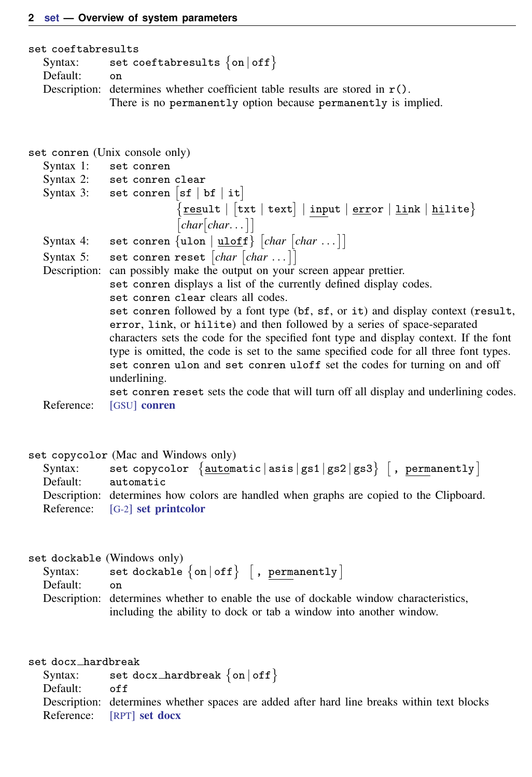set coeftabresults

 $\texttt{Syntax:}\qquad \texttt{set coefficients} \ \big\{\texttt{on} \, | \, \texttt{off}\big\}$ 

Default: on

Description: determines whether coefficient table results are stored in  $r()$ .

There is no permanently option because permanently is implied.

set conren (Unix console only)

Syntax 1: set conren Syntax 2: set conren clear Syntax 3: set conren  $\begin{bmatrix} \text{sf} \mid \text{bf} \mid \text{it} \end{bmatrix}$  $\{ \underline{\text{result}} \mid [\text{txt} \mid \text{text}] \mid \text{input} \mid \underline{\text{error}} \mid \underline{\text{link}} \mid \underline{\text{hilite}} \}$  $\lceil char[char...] \rceil$ Syntax 4: set conren  $\{$ ulon  $|$  <u>ulof</u>f $\}$   $[char$   $[char...]$ Syntax 5: set conren reset  $\lceil char \rceil char \ldots \rceil$ Description: can possibly make the output on your screen appear prettier. set conren displays a list of the currently defined display codes. set conren clear clears all codes. set conren followed by a font type (bf, sf, or it) and display context (result, error, link, or hilite) and then followed by a series of space-separated characters sets the code for the specified font type and display context. If the font type is omitted, the code is set to the same specified code for all three font types. set conren ulon and set conren uloff set the codes for turning on and off underlining. set conren reset sets the code that will turn off all display and underlining codes. Reference: [GSU] [conren](https://www.stata.com/manuals/gsuconren.pdf#gsuconren)

set copycolor (Mac and Windows only)

 $\texttt{Syntax:} \qquad \texttt{set copycolor} \; \big\{ \underline{\texttt{auto}}{}{}{m}\texttt{atic} \, | \, \texttt{asis} \, | \, \texttt{gs1} \, | \, \texttt{gs3} \big\} \; \big\lceil \, , \, \, \texttt{per}{}{}{m}\texttt{ent1y} \, \big\rceil$ Default: automatic Description: determines how colors are handled when graphs are copied to the Clipboard. Reference: [G-2] [set printcolor](https://www.stata.com/manuals/g-2setprintcolor.pdf#g-2setprintcolor)

set dockable (Windows only)  $\texttt{Syntax:}\qquad \texttt{set} \texttt{ dockable}\ \{\texttt{on} \, | \, \texttt{off}\} \ \ \big[\ \texttt{, permanently}\ \big]$ Default: on Description: determines whether to enable the use of dockable window characteristics, including the ability to dock or tab a window into another window.

set docx\_hardbreak

 $\texttt{Syntax:}\qquad \texttt{set docx\_hardbreak} \; \big\{\texttt{on} \, | \, \texttt{off} \big\}$ 

Default: off

Description: determines whether spaces are added after hard line breaks within text blocks Reference: [RPT] [set docx](https://www.stata.com/manuals/rptsetdocx.pdf#rptsetdocx)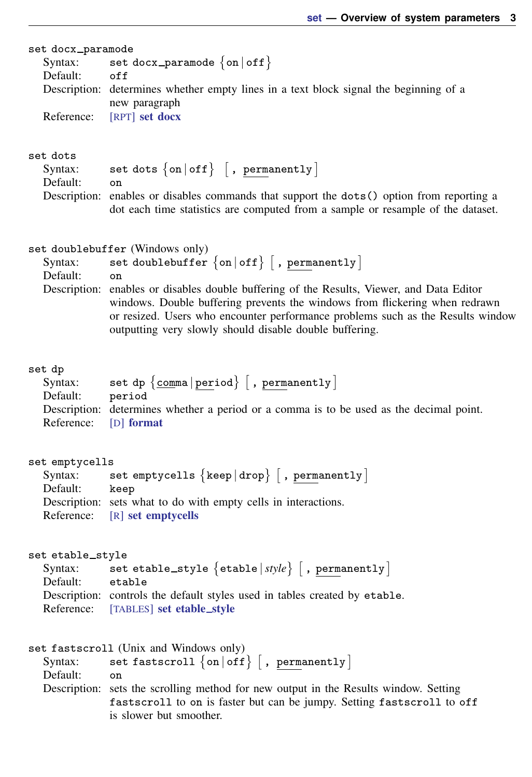| set docx_paramode                                     |                                                                                                                                                                                                                                                                                                                              |
|-------------------------------------------------------|------------------------------------------------------------------------------------------------------------------------------------------------------------------------------------------------------------------------------------------------------------------------------------------------------------------------------|
| Syntax:<br>Default:                                   | set docx_paramode $\{on   off\}$<br>off<br>Description: determines whether empty lines in a text block signal the beginning of a                                                                                                                                                                                             |
| Reference:                                            | new paragraph<br>[RPT] set docx                                                                                                                                                                                                                                                                                              |
| set dots<br>Syntax:                                   | set dots $\{on   off\}$ [, permanently]                                                                                                                                                                                                                                                                                      |
| Default:                                              | on                                                                                                                                                                                                                                                                                                                           |
|                                                       | Description: enables or disables commands that support the dots () option from reporting a<br>dot each time statistics are computed from a sample or resample of the dataset.                                                                                                                                                |
| Syntax:                                               | set doublebuffer (Windows only)<br>set double<br>buffer $\big\{\texttt{on}\, \,\texttt{off}\big\}$ [ , permanently ]                                                                                                                                                                                                         |
| Default:                                              | on<br>Description: enables or disables double buffering of the Results, Viewer, and Data Editor<br>windows. Double buffering prevents the windows from flickering when redrawn<br>or resized. Users who encounter performance problems such as the Results window<br>outputting very slowly should disable double buffering. |
| set dp<br>Syntax:<br>Default:<br>Reference:           | set dp $\{comma   period\}$ [, permanently]<br>period<br>Description: determines whether a period or a comma is to be used as the decimal point.<br>$[D]$ format                                                                                                                                                             |
| set emptycells<br>Syntax:<br>Default:<br>Reference:   | set emptycells $\{ \text{keep} \,   \, \text{drop} \}$ $\lceil$ , permanently $\rceil$<br>keep<br>Description: sets what to do with empty cells in interactions.<br>[R] set emptycells                                                                                                                                       |
| set etable_style<br>Syntax:<br>Default:<br>Reference: | set etable_style $\{$ etable $ \mathit{style} $ $ $ , permanently $ $<br>etable<br>Description: controls the default styles used in tables created by etable.<br>[TABLES] set etable_style                                                                                                                                   |
| Syntax:<br>Default:                                   | set fastscroll (Unix and Windows only)<br>set fastscroll $\{on   off\}$ , permanently<br>on<br>Description: sets the scrolling method for new output in the Results window. Setting<br>fastscroll to on is faster but can be jumpy. Setting fastscroll to off                                                                |
|                                                       | is slower but smoother.                                                                                                                                                                                                                                                                                                      |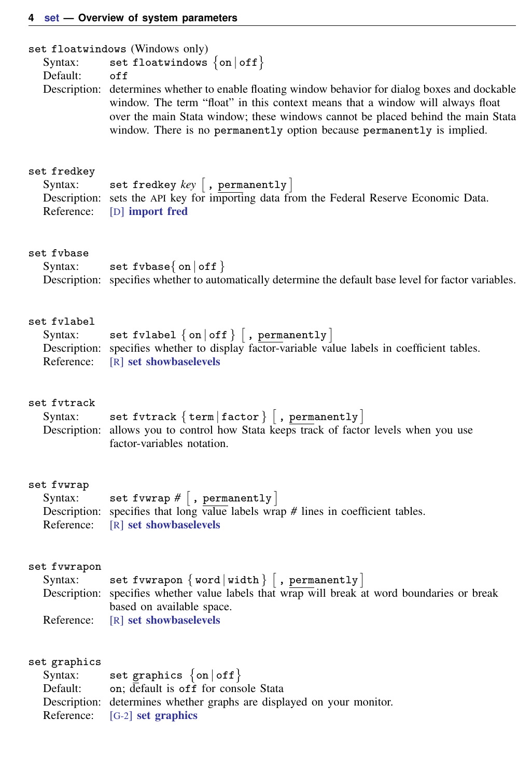| set floatwindows (Windows only)       |                                                                                                                                                                                                                                                                                                                                                  |  |
|---------------------------------------|--------------------------------------------------------------------------------------------------------------------------------------------------------------------------------------------------------------------------------------------------------------------------------------------------------------------------------------------------|--|
| Syntax:                               | set floatwindows $\{on   off\}$                                                                                                                                                                                                                                                                                                                  |  |
| Default:                              | off                                                                                                                                                                                                                                                                                                                                              |  |
|                                       | Description: determines whether to enable floating window behavior for dialog boxes and dockable<br>window. The term "float" in this context means that a window will always float<br>over the main Stata window; these windows cannot be placed behind the main Stata<br>window. There is no permanently option because permanently is implied. |  |
| set fredkey                           | set fredkey $key$ , permanently                                                                                                                                                                                                                                                                                                                  |  |
| Syntax:                               | Description: sets the API key for importing data from the Federal Reserve Economic Data.                                                                                                                                                                                                                                                         |  |
| Reference:                            | [D] import fred                                                                                                                                                                                                                                                                                                                                  |  |
| set fybase                            | set fvbase $\{$ on $ $ of f $\}$                                                                                                                                                                                                                                                                                                                 |  |
| Syntax:                               | Description: specifies whether to automatically determine the default base level for factor variables.                                                                                                                                                                                                                                           |  |
| set fvlabel                           | set fvlabel $\{ \text{on}   \text{off } \}$ , permanently                                                                                                                                                                                                                                                                                        |  |
| Syntax:                               | Description: specifies whether to display factor-variable value labels in coefficient tables.                                                                                                                                                                                                                                                    |  |
| Reference:                            | [R] set showbaselevels                                                                                                                                                                                                                                                                                                                           |  |
| set fvtrack<br>Syntax:                | set fvtrack { term   factor }  , permanently  <br>Description: allows you to control how Stata keeps track of factor levels when you use<br>factor-variables notation.                                                                                                                                                                           |  |
| set fvwrap                            | set fvwrap $#$ , permanently                                                                                                                                                                                                                                                                                                                     |  |
| Syntax:                               | Description: specifies that long value labels wrap $#$ lines in coefficient tables.                                                                                                                                                                                                                                                              |  |
| Reference:                            | [R] set showbaselevels                                                                                                                                                                                                                                                                                                                           |  |
| set fvwrapon<br>Syntax:<br>Reference: | set fvwrapon $\{$ word $ $ width $\}$ $\left[$ , permanently $\right]$<br>Description: specifies whether value labels that wrap will break at word boundaries or break<br>based on available space.<br>[R] set showbaselevels                                                                                                                    |  |
| set graphics                          | set graphics $\{on   off\}$                                                                                                                                                                                                                                                                                                                      |  |
| Syntax:                               | on; default is off for console Stata                                                                                                                                                                                                                                                                                                             |  |
| Default:                              | Description: determines whether graphs are displayed on your monitor.                                                                                                                                                                                                                                                                            |  |
| Reference:                            | [G-2] set graphics                                                                                                                                                                                                                                                                                                                               |  |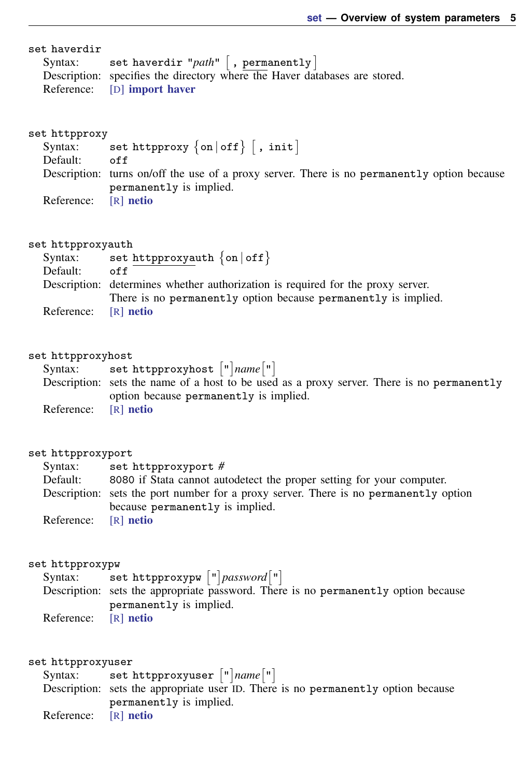| set haverdir  |                                                                            |
|---------------|----------------------------------------------------------------------------|
|               | Syntax: set haverdir " $path$ " , permanently ]                            |
|               | Description: specifies the directory where the Haver databases are stored. |
|               | Reference: [D] import haver                                                |
|               |                                                                            |
|               |                                                                            |
| set httpproxy |                                                                            |
|               | Syntax: set httpproxy $\{on   off\}$ [, init]                              |

Default: off Description: turns on/off the use of a proxy server. There is no permanently option because permanently is implied. Reference: [R] [netio](https://www.stata.com/manuals/rnetio.pdf#rnetio)

#### set httpproxyauth

| Syntax:              | set httpproxyauth $\{on   off\}$                                                |
|----------------------|---------------------------------------------------------------------------------|
| Default:             | off.                                                                            |
|                      | Description: determines whether authorization is required for the proxy server. |
|                      | There is no permanently option because permanently is implied.                  |
| Reference: [R] netio |                                                                                 |

#### set httpproxyhost

| Syntax:              | set httpproxyhost $\lceil \cdot \rceil$ <i>name</i> $\lceil \cdot \rceil$                  |
|----------------------|--------------------------------------------------------------------------------------------|
|                      | Description: sets the name of a host to be used as a proxy server. There is no permanently |
|                      | option because permanently is implied.                                                     |
| Reference: [R] netio |                                                                                            |

#### set httpproxyport

| Syntax:    | set httpproxyport $#$                                                                |
|------------|--------------------------------------------------------------------------------------|
| Default:   | 8080 if Stata cannot autodetect the proper setting for your computer.                |
|            | Description: sets the port number for a proxy server. There is no permanently option |
|            | because permanently is implied.                                                      |
| Reference: | [R] netio                                                                            |

#### set httpproxypw

| Syntax:              | set httpproxypw ["]password["]                                                     |
|----------------------|------------------------------------------------------------------------------------|
|                      | Description: sets the appropriate password. There is no permanently option because |
|                      | permanently is implied.                                                            |
| Reference: [R] netio |                                                                                    |

Reference: [R] [netio](https://www.stata.com/manuals/rnetio.pdf#rnetio)

#### set httpproxyuser

Syntax: set httpproxyuser ["] name ["] Description: sets the appropriate user ID. There is no permanently option because permanently is implied. Reference: [R] [netio](https://www.stata.com/manuals/rnetio.pdf#rnetio)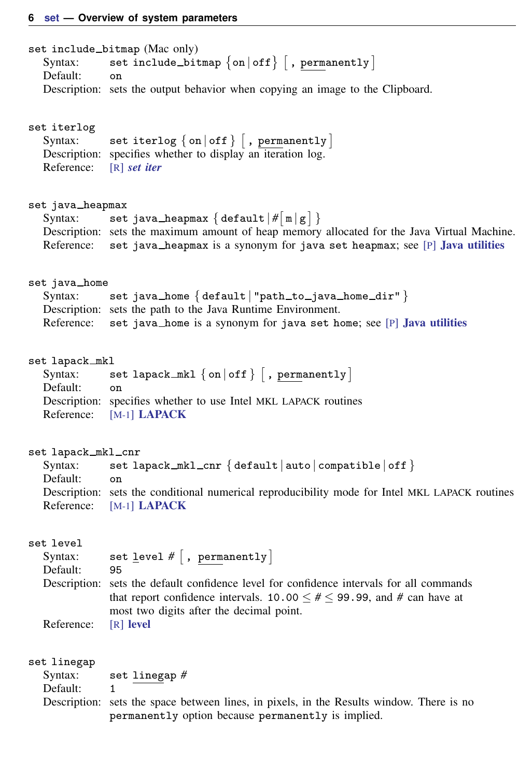set include\_bitmap (Mac only)  $\texttt{Syntax:}\qquad \texttt{set include\_bitmap}\; \big\{\texttt{on} \, \vert \, \texttt{off} \big\} \; \big[ \; , \; \texttt{permanently} \, \big]$ Default: on Description: sets the output behavior when copying an image to the Clipboard.

#### set iterlog

 $\texttt{Syntax:}\qquad \texttt{set} \texttt{iterlog}\ \set{\texttt{on} \, \vert \, \texttt{off} \, \} \, \bigl[ \, , \, \texttt{permanently} \, \bigr]$ Description: specifies whether to display an iteration log. Reference: [R] *[set iter](https://www.stata.com/manuals/rsetiter.pdf#rsetiter)*

#### set java\_heapmax

| Syntax: | set java_heapmax { default $\# \lceil m \rceil g \rceil$ }                                  |
|---------|---------------------------------------------------------------------------------------------|
|         | Description: sets the maximum amount of heap memory allocated for the Java Virtual Machine. |
|         | Reference: set java_heapmax is a synonym for java set heapmax; see $[P]$ Java utilities     |

#### set java\_home

| Syntax: | set java_home $\{$ default $ $ "path_to_java_home_dir" $\}$                       |
|---------|-----------------------------------------------------------------------------------|
|         | Description: sets the path to the Java Runtime Environment.                       |
|         | Reference: set java_home is a synonym for java set home; see $[P]$ Java utilities |

#### set lapack mkl

| set lapack_mkl {on   off } $\lceil$ , permanently $\rceil$      |
|-----------------------------------------------------------------|
| 0n                                                              |
| Description: specifies whether to use Intel MKL LAPACK routines |
| Reference: [M-1] <b>LAPACK</b>                                  |
|                                                                 |

#### set lapack\_mkl\_cnr

Syntax: set lapack  $mkl cn$  { default | auto | compatible | off } Default: on Description: sets the conditional numerical reproducibility mode for Intel MKL LAPACK routines Reference: [M-1] [LAPACK](https://www.stata.com/manuals/m-1lapack.pdf#m-1LAPACK)

#### set level

| Syntax:    | set level $#$ , permanently                                                              |
|------------|------------------------------------------------------------------------------------------|
| Default:   | 95                                                                                       |
|            | Description: sets the default confidence level for confidence intervals for all commands |
|            | that report confidence intervals. 10.00 $\leq$ # $\leq$ 99.99, and # can have at         |
|            | most two digits after the decimal point.                                                 |
| Reference: | R level                                                                                  |

#### set linegap

Syntax: set linegap *#*

Default: 1

Description: sets the space between lines, in pixels, in the Results window. There is no permanently option because permanently is implied.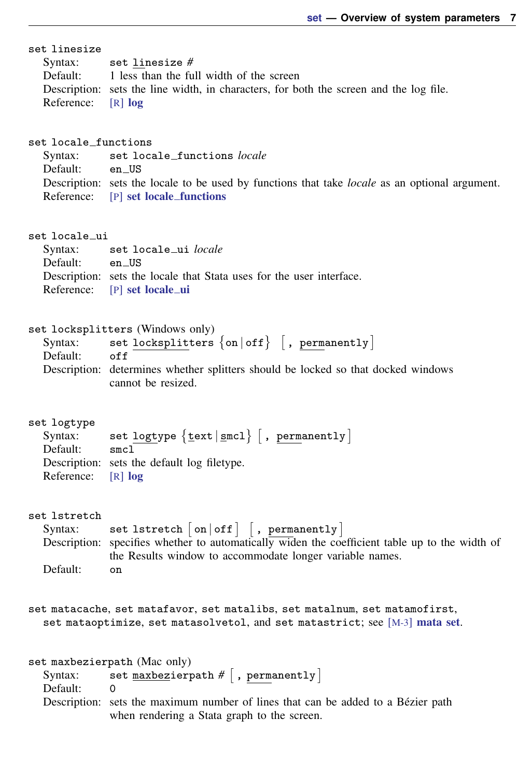#### set linesize

| Syntax:              | set linesize $\#$                                                                      |
|----------------------|----------------------------------------------------------------------------------------|
|                      | Default: 1 less than the full width of the screen                                      |
|                      | Description: sets the line width, in characters, for both the screen and the log file. |
| Reference: $[R]$ log |                                                                                        |

# set locale\_functions<br>Syntax: set loca

set locale\_functions *locale* Default: en\_US Description: sets the locale to be used by functions that take *locale* as an optional argument. Reference: [P] [set locale](https://www.stata.com/manuals/psetlocale_functions.pdf#psetlocale_functions)\_functions

#### set locale\_ui

| Syntax:  | set locale_ui locale                                                 |
|----------|----------------------------------------------------------------------|
| Default: | en_US                                                                |
|          | Description: sets the locale that Stata uses for the user interface. |
|          | Reference: [P] set locale_ui                                         |

#### set locksplitters (Windows only)

Syntax: set locksplitters  $\{\textsf{on} \, | \, \textsf{off}\}$   $\begin{bmatrix} , & \textsf{permanently} \end{bmatrix}$ Default: off

Description: determines whether splitters should be locked so that docked windows cannot be resized.

#### set logtype

| ις τοκιλης           |                                                                      |
|----------------------|----------------------------------------------------------------------|
| Syntax:              | set logtype $\{$ text $ $ smcl $\}$ $\left[$ , permanently $\right]$ |
| Default:             | smc1                                                                 |
|                      | Description: sets the default log filetype.                          |
| Reference: $[R]$ log |                                                                      |
|                      |                                                                      |

#### set lstretch

 $\texttt{Syntax:}\qquad \texttt{set} \texttt{lstretch} \; \lceil \texttt{on} \, \rceil \texttt{off} \; \rceil \; \; \lceil \, , \; \texttt{permanently} \, \rceil$ Description: specifies whether to automatically widen the coefficient table up to the width of the Results window to accommodate longer variable names. Default: on

set matacache, set matafavor, set matalibs, set matalnum, set matamofirst, set mataoptimize, set matasolvetol, and set matastrict; see [M-3] [mata set](https://www.stata.com/manuals/m-3mataset.pdf#m-3mataset).

set maxbezierpath (Mac only) Syntax: set maxbezierpath #  $\lceil$  , permanently  $\rceil$ Default: Description: sets the maximum number of lines that can be added to a Bézier path when rendering a Stata graph to the screen.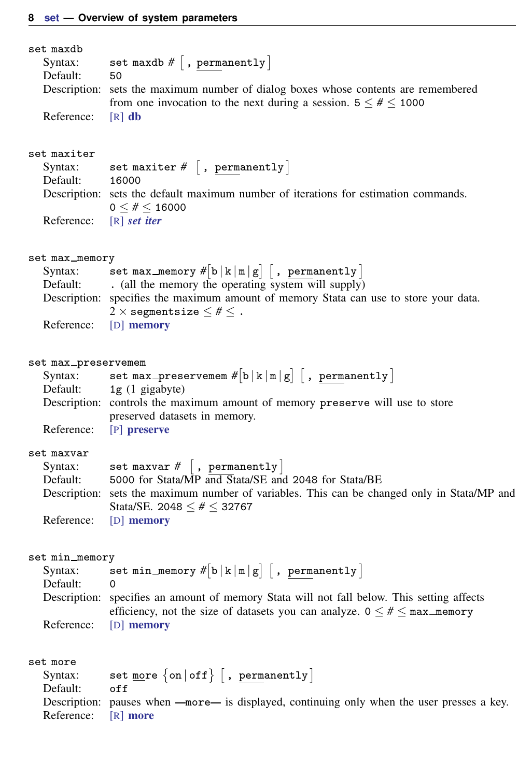#### set maxdb

| Syntax:             | set maxdb $#$ , permanently                                                        |
|---------------------|------------------------------------------------------------------------------------|
| Default:            | 50.                                                                                |
|                     | Description: sets the maximum number of dialog boxes whose contents are remembered |
|                     | from one invocation to the next during a session. $5 \leq # \leq 1000$             |
| Reference: $[R]$ db |                                                                                    |

#### set maxiter

Syntax: set maxiter  $\#$   $\left[$  , permanently  $\right]$ Default: 16000 Description: sets the default maximum number of iterations for estimation commands.  $0 \leq # \leq 16000$ Reference: [R] *[set iter](https://www.stata.com/manuals/rsetiter.pdf#rsetiter)*

#### set max\_memory

| Syntax:    | set max_memory $\#[b   k   m   g]$ , permanently                                      |
|------------|---------------------------------------------------------------------------------------|
| Default:   | . (all the memory the operating system will supply)                                   |
|            | Description: specifies the maximum amount of memory Stata can use to store your data. |
|            | $2 \times$ segmentsize $4 \times 5$ .                                                 |
| Reference: | [D] memory                                                                            |

#### set max\_preservemem

| Syntax: | set max_preservemem $\#[b   k   m   g]$ , permanently                         |
|---------|-------------------------------------------------------------------------------|
|         | Default: $1g(1)$ gigabyte)                                                    |
|         | Description: controls the maximum amount of memory preserve will use to store |
|         | preserved datasets in memory.                                                 |
|         | Reference: [P] preserve                                                       |

#### set maxvar

| Syntax:  | set maxvar $#$ , permanently                                                                |
|----------|---------------------------------------------------------------------------------------------|
| Default: | 5000 for Stata/MP and Stata/SE and 2048 for Stata/BE                                        |
|          | Description: sets the maximum number of variables. This can be changed only in Stata/MP and |
|          | Stata/SE, 2048 $\lt$ # $\lt$ 32767                                                          |
|          | Reference: [D] memory                                                                       |

#### set min\_memory

Syntax: set min\_memory  $\#\big[\mathtt{b} \,|\, \mathtt{k} \,|\, \mathfrak{m} \,|\, \mathtt{g}\big]$   $\big[$  , permanently  $\big]$ Default: 0 Description: specifies an amount of memory Stata will not fall below. This setting affects efficiency, not the size of datasets you can analyze.  $0 \leq # \leq$  max memory Reference: [D] [memory](https://www.stata.com/manuals/dmemory.pdf#dmemory)

#### set more

Syntax: set more  $\{$  on  $|$  off  $\}$   $\lceil$  , permanently  $\rceil$ Default: off Description: pauses when  $\text{—more--}$  is displayed, continuing only when the user presses a key. Reference: [R] [more](https://www.stata.com/manuals/rmore.pdf#rmore)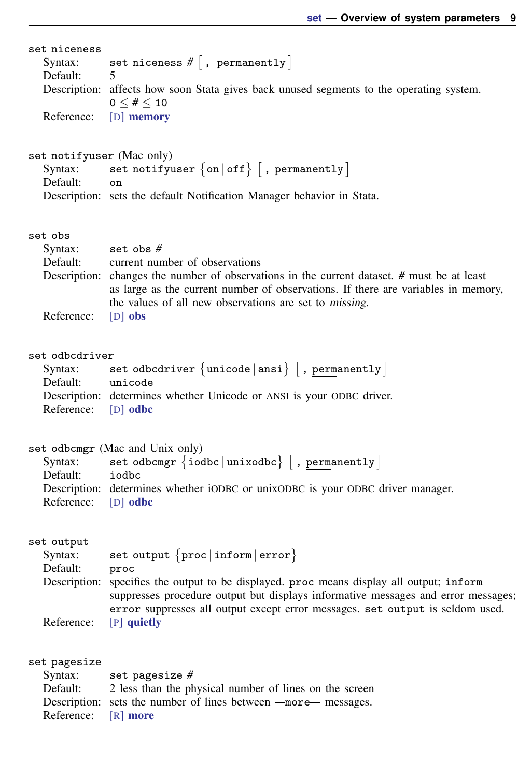| set niceness              |                                                                                                                                                                                                                                           |
|---------------------------|-------------------------------------------------------------------------------------------------------------------------------------------------------------------------------------------------------------------------------------------|
| Syntax:<br>Default:       | set niceness $#$ $\lceil$ , permanently $\rceil$<br>5                                                                                                                                                                                     |
|                           | Description: affects how soon Stata gives back unused segments to the operating system.<br>$0 \leq \# \leq 10$                                                                                                                            |
| Reference:                | [D] memory                                                                                                                                                                                                                                |
| set notifyuser (Mac only) |                                                                                                                                                                                                                                           |
| Syntax:<br>Default:       | set notifyuser $\{on   off\}$ , permanently<br>on                                                                                                                                                                                         |
|                           | Description: sets the default Notification Manager behavior in Stata.                                                                                                                                                                     |
| set obs                   |                                                                                                                                                                                                                                           |
| Syntax:<br>Default:       | set obs $#$<br>current number of observations                                                                                                                                                                                             |
|                           | Description: changes the number of observations in the current dataset. # must be at least<br>as large as the current number of observations. If there are variables in memory,<br>the values of all new observations are set to missing. |
| Reference:                | $[D]$ obs                                                                                                                                                                                                                                 |
| set odbcdriver            |                                                                                                                                                                                                                                           |
| Syntax:<br>Default:       | set odbcdriver $\{$ unicode $ $ ansi $\}$ $\lceil$ , permanently $\rceil$<br>unicode                                                                                                                                                      |
| Reference: [D] odbc       | Description: determines whether Unicode or ANSI is your ODBC driver.                                                                                                                                                                      |
|                           | set odbcmgr (Mac and Unix only)                                                                                                                                                                                                           |
| Syntax:<br>Default:       | set odbcmgr $\{i$ odbc $ $ unixodbc $ $ , permanently $ $<br>iodbc                                                                                                                                                                        |
| Reference:                | Description: determines whether iODBC or unixODBC is your ODBC driver manager.<br>$[D]$ odbc                                                                                                                                              |
| set output                |                                                                                                                                                                                                                                           |
| Syntax:<br>Default:       | set output $\{proc   inform   error \}$<br>proc                                                                                                                                                                                           |
|                           | Description: specifies the output to be displayed. proc means display all output; inform<br>suppresses procedure output but displays informative messages and error messages;                                                             |
| Reference:                | error suppresses all output except error messages. set output is seldom used.<br>$[P]$ quietly                                                                                                                                            |
| set pagesize<br>Syntax:   | set pagesize $#$                                                                                                                                                                                                                          |
| Default:                  | 2 less than the physical number of lines on the screen                                                                                                                                                                                    |
| Description:              | sets the number of lines between -- more- messages.                                                                                                                                                                                       |

Reference: [R] [more](https://www.stata.com/manuals/rmore.pdf#rmore)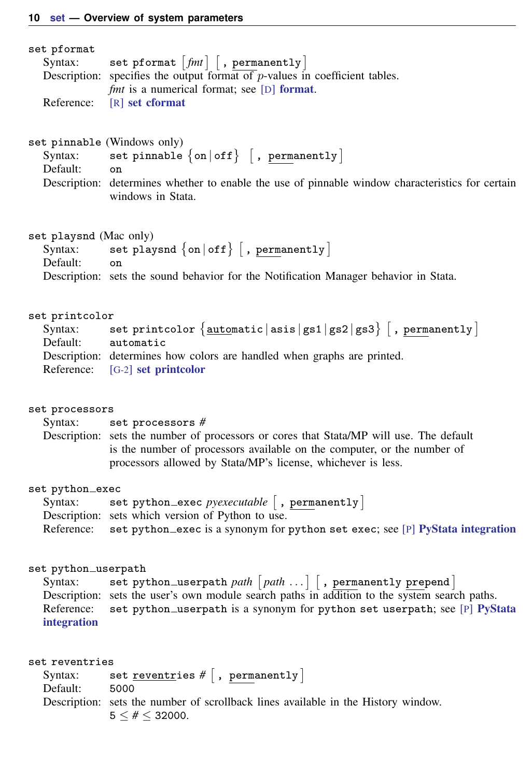#### set pformat

| Syntax: set pformat $\lfloor fmt \rfloor$ , permanently $\lfloor$              |
|--------------------------------------------------------------------------------|
| Description: specifies the output format of $p$ -values in coefficient tables. |
| <i>fmt</i> is a numerical format; see [D] <b>format</b> .                      |
| Reference: [R] set cformat                                                     |

#### set pinnable (Windows only)

```
Syntax: set pinnable \{\mathsf{on} \, | \, \mathsf{off}\} \, , permanently \,Default: on
```
Description: determines whether to enable the use of pinnable window characteristics for certain windows in Stata.

#### set playsnd (Mac only)

| Syntax:  | set playsnd $\{on off\}$ , permanently                                               |
|----------|--------------------------------------------------------------------------------------|
| Default: | on                                                                                   |
|          | Description: sets the sound behavior for the Notification Manager behavior in Stata. |

#### set printcolor

| Syntax:  | set printcolor $\{$ automatic   asis   gs1   gs2   gs3 }   , permanently |
|----------|--------------------------------------------------------------------------|
| Default: | automatic                                                                |
|          | Description: determines how colors are handled when graphs are printed.  |
|          | Reference: [G-2] set printcolor                                          |

#### set processors

Syntax: set processors *#* Description: sets the number of processors or cores that Stata/MP will use. The default is the number of processors available on the computer, or the number of processors allowed by Stata/MP's license, whichever is less.

#### set python\_exec

| Syntax: | set python_exec $p$ yexecutable $ $ , permanently $ $                                    |
|---------|------------------------------------------------------------------------------------------|
|         | Description: sets which version of Python to use.                                        |
|         | Reference: set python_exec is a synonym for python set exec; see [P] PyStata integration |

#### set python\_userpath

| Syntax:            | set python_userpath path $ path \ldots $ , permanently prepend                               |
|--------------------|----------------------------------------------------------------------------------------------|
|                    | Description: sets the user's own module search paths in addition to the system search paths. |
| Reference:         | set python_userpath is a synonym for python set userpath; see [P] PyStata                    |
| <i>integration</i> |                                                                                              |

#### set reventries

| Syntax: | set $reventries #  $ , permanently |  |  |  |
|---------|------------------------------------|--|--|--|
|---------|------------------------------------|--|--|--|

Default: 5000

Description: sets the number of scrollback lines available in the History window.  $5 < \# < 32000$ .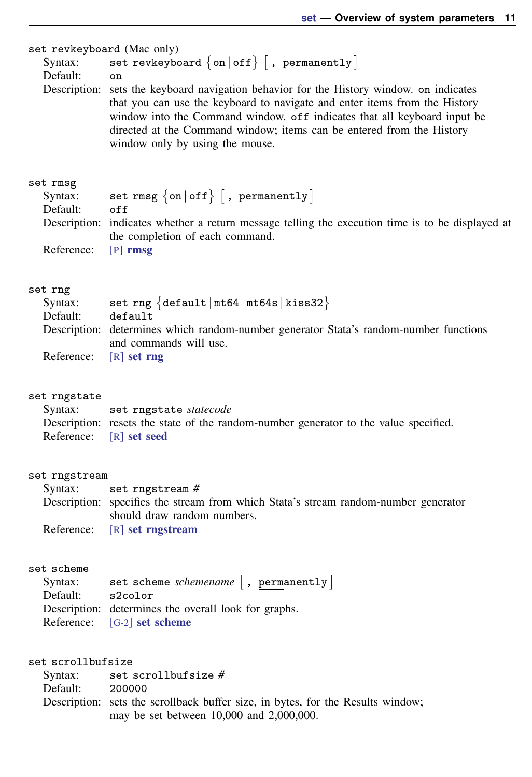|          | set revkeyboard (Mac only)                                                         |  |
|----------|------------------------------------------------------------------------------------|--|
| Syntax:  | set revkeyboard $\{ \texttt{on} \,   \, \texttt{off} \} \, \mid$ , permanently $ $ |  |
| Default: | Ωn                                                                                 |  |

Description: sets the keyboard navigation behavior for the History window. on indicates that you can use the keyboard to navigate and enter items from the History window into the Command window. off indicates that all keyboard input be directed at the Command window; items can be entered from the History window only by using the mouse.

#### set rmsg

| Syntax:                       | set $\texttt{rmsg}$ $\{\texttt{on}   \texttt{off} \}$ , permanently                              |
|-------------------------------|--------------------------------------------------------------------------------------------------|
| Default:                      | of f                                                                                             |
|                               | Description: indicates whether a return message telling the execution time is to be displayed at |
|                               | the completion of each command.                                                                  |
| Reference: $[P] \text{ rmsg}$ |                                                                                                  |

#### set rng

| Syntax:                  | set rng $\{default   mt64   mt64s   kiss32\}$                                         |
|--------------------------|---------------------------------------------------------------------------------------|
| Default:                 | default                                                                               |
|                          | Description: determines which random-number generator Stata's random-number functions |
|                          | and commands will use.                                                                |
| Reference: $[R]$ set rng |                                                                                       |

#### set rngstate

Syntax: set rngstate *statecode* Description: resets the state of the random-number generator to the value specified. Reference: [R] [set seed](https://www.stata.com/manuals/rsetseed.pdf#rsetseed)

#### set rngstream

| Syntax: $\qquad$ set rngstream #                                                    |
|-------------------------------------------------------------------------------------|
| Description: specifies the stream from which Stata's stream random-number generator |
| should draw random numbers.                                                         |
| Reference: [R] set rngstream                                                        |

#### set scheme

| Syntax:  | set scheme schemename $[$ , permanently $]$          |
|----------|------------------------------------------------------|
| Default: | s2color                                              |
|          | Description: determines the overall look for graphs. |
|          | Reference: [G-2] set scheme                          |

| Syntax:  | set scrollbufsize $#$                                                           |
|----------|---------------------------------------------------------------------------------|
| Default: | 200000                                                                          |
|          | Description: sets the scrollback buffer size, in bytes, for the Results window; |
|          | may be set between $10,000$ and $2,000,000$ .                                   |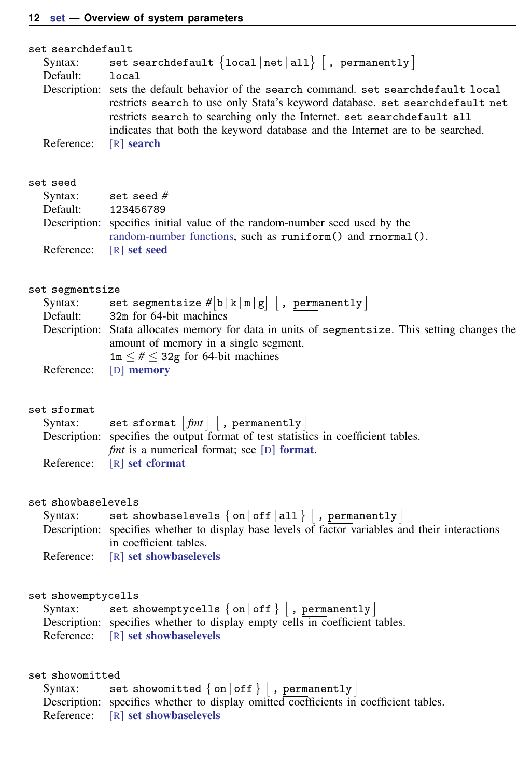#### set searchdefault

| U SEAICHUEIAUIU |                                                                                                                                                                                                                                                                                                                                   |
|-----------------|-----------------------------------------------------------------------------------------------------------------------------------------------------------------------------------------------------------------------------------------------------------------------------------------------------------------------------------|
| Syntax:         | set searchdefault $\{local   net   all\}$ , permanently                                                                                                                                                                                                                                                                           |
| Default:        | local                                                                                                                                                                                                                                                                                                                             |
|                 | Description: sets the default behavior of the search command, set search default local<br>restricts search to use only Stata's keyword database. set searchdefault net<br>restricts search to searching only the Internet. set searchdefault all<br>indicates that both the keyword database and the Internet are to be searched. |
| Reference:      | $[R]$ search                                                                                                                                                                                                                                                                                                                      |

#### set seed

| Syntax:  | set seed $#$                                                               |
|----------|----------------------------------------------------------------------------|
| Default: | 123456789                                                                  |
|          | Description: specifies initial value of the random-number seed used by the |
|          | random-number functions, such as runiform() and rnormal().                 |
|          | Reference: [R] set seed                                                    |

#### set segmentsize

| Syntax:    | set segmentsize $\#\left[\mathbf{b} \, \, \mathbf{k} \, \, \mathbf{m} \, \, \mathbf{g}\right]$ , permanently |
|------------|--------------------------------------------------------------------------------------------------------------|
| Default:   | 32m for 64-bit machines                                                                                      |
|            | Description: Stata allocates memory for data in units of segment size. This setting changes the              |
|            | amount of memory in a single segment.                                                                        |
|            | $1m \leq # \leq 32g$ for 64-bit machines                                                                     |
| Reference: | $[D]$ memory                                                                                                 |

### set sformat

| Syntax: set sformat $\lfloor fmt \rfloor$ , permanently                            |
|------------------------------------------------------------------------------------|
| Description: specifies the output format of test statistics in coefficient tables. |
| <i>fmt</i> is a numerical format; see [D] <b>format</b> .                          |
| Reference: [R] set cformat                                                         |

#### set showbaselevels

| Syntax: | set showbaselevels $\{$ on $ $ of $f$   all $\}$  , permanently                                  |
|---------|--------------------------------------------------------------------------------------------------|
|         | Description: specifies whether to display base levels of factor variables and their interactions |
|         | in coefficient tables.                                                                           |
|         | Reference: [R] set showbaselevels                                                                |

## set showemptycells

| Syntax: | set showemptycells $\{ \text{ on }  \text{ off } \}$ , permanently           |  |
|---------|------------------------------------------------------------------------------|--|
|         | Description: specifies whether to display empty cells in coefficient tables. |  |
|         | Reference: [R] set showbaselevels                                            |  |

#### set showomitted

| Syntax: | set showomitted $\{$ on $ $ off $\}$  , permanently                                   |
|---------|---------------------------------------------------------------------------------------|
|         | Description: specifies whether to display omitted coefficients in coefficient tables. |
|         | Reference: [R] set showbaselevels                                                     |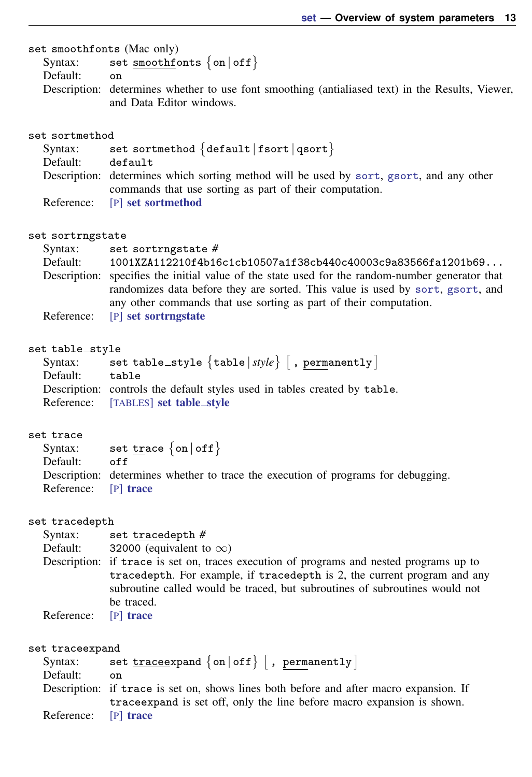set smoothfonts (Mac only) Syntax: set <u>smoothf</u>onts  $\{ \texttt{on} \, | \, \texttt{off} \}$ Default: on

Description: determines whether to use font smoothing (antialiased text) in the Results, Viewer, and Data Editor windows.

#### set sortmethod

| Syntax:  | set sortmethod $\{default   { \text{for} }   { \text{qsort} } \}$                       |
|----------|-----------------------------------------------------------------------------------------|
| Default: | default                                                                                 |
|          | Description: determines which sorting method will be used by sort, gsort, and any other |
|          | commands that use sorting as part of their computation.                                 |
|          | Reference: [P] set sortmethod                                                           |

#### set sortrngstate

| Syntax:    | set sortrngstate $#$                                                                            |
|------------|-------------------------------------------------------------------------------------------------|
| Default:   | 1001XZA112210f4b16c1cb10507a1f38cb440c40003c9a83566fa1201b69                                    |
|            | Description: specifies the initial value of the state used for the random-number generator that |
|            | randomizes data before they are sorted. This value is used by sort, g sort, and                 |
|            | any other commands that use sorting as part of their computation.                               |
| Reference: | [P] set sortrngstate                                                                            |

set table\_style

| Syntax:  | set table_style $\{table   style\}$ , permanently $ $                     |
|----------|---------------------------------------------------------------------------|
| Default: | table                                                                     |
|          | Description: controls the default styles used in tables created by table. |
|          | Reference: [TABLES] set table_style                                       |

#### set trace

|                      | Syntax: set $\text{trace} \{ \text{on}   \text{off} \}$                           |
|----------------------|-----------------------------------------------------------------------------------|
| Default:             | off                                                                               |
|                      | Description: determines whether to trace the execution of programs for debugging. |
| Reference: [P] trace |                                                                                   |

#### set tracedepth

| set tracedepth $#$                                                                                                                                      |
|---------------------------------------------------------------------------------------------------------------------------------------------------------|
| 32000 (equivalent to $\infty$ )                                                                                                                         |
| Description: if trace is set on, traces execution of programs and nested programs up to                                                                 |
| tracedepth. For example, if tracedepth is 2, the current program and any<br>subroutine called would be traced, but subroutines of subroutines would not |
| be traced.                                                                                                                                              |
| $[P]$ trace                                                                                                                                             |
|                                                                                                                                                         |

#### set traceexpand

| Syntax:  | set $\texttt{traceexpand}\; \{\texttt{on} \,   \, \texttt{off} \}$ $\; \;   \;$ , permanently $\;   \;$ |  |  |
|----------|---------------------------------------------------------------------------------------------------------|--|--|
| Default: | on                                                                                                      |  |  |

- Description: if trace is set on, shows lines both before and after macro expansion. If traceexpand is set off, only the line before macro expansion is shown.<br>[P] trace
- Reference: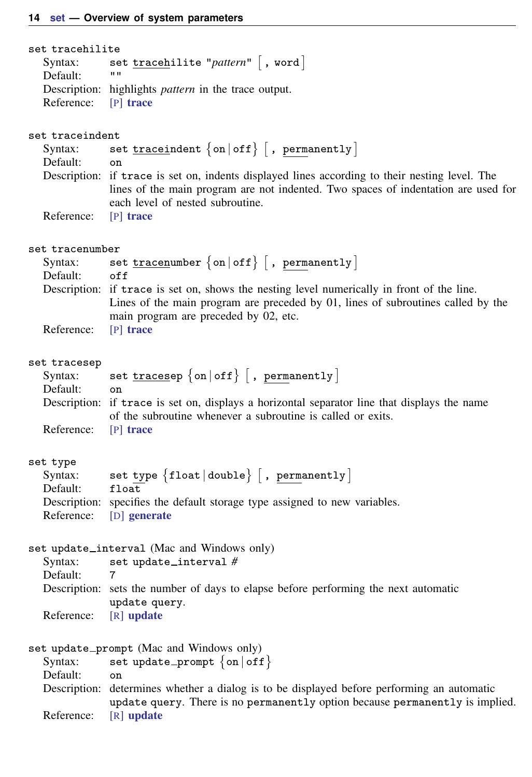| set tracehilite                            |                                                                                                                                                                                                                          |  |
|--------------------------------------------|--------------------------------------------------------------------------------------------------------------------------------------------------------------------------------------------------------------------------|--|
| Syntax:                                    | set <i>tracehilite "pattern"</i> [, word]                                                                                                                                                                                |  |
| Default:                                   | $\mathbf{H}$<br>Description: highlights <i>pattern</i> in the trace output.                                                                                                                                              |  |
| Reference:                                 | $[P]$ trace                                                                                                                                                                                                              |  |
|                                            |                                                                                                                                                                                                                          |  |
| set traceindent                            |                                                                                                                                                                                                                          |  |
| Syntax:<br>Default:                        | set $\texttt{traceindent}$ {on   off }  , permanently ]<br>on                                                                                                                                                            |  |
|                                            | Description: if trace is set on, indents displayed lines according to their nesting level. The<br>lines of the main program are not indented. Two spaces of indentation are used for<br>each level of nested subroutine. |  |
| Reference:                                 | $[P]$ trace                                                                                                                                                                                                              |  |
|                                            |                                                                                                                                                                                                                          |  |
| set tracenumber<br>Syntax:                 | set $\texttt{trace number } \{\texttt{on}   \texttt{off} \}$ , permanently                                                                                                                                               |  |
| Default:                                   | off                                                                                                                                                                                                                      |  |
|                                            | Description: if trace is set on, shows the nesting level numerically in front of the line.<br>Lines of the main program are preceded by 01, lines of subroutines called by the<br>main program are preceded by 02, etc.  |  |
| Reference:                                 | $[P]$ trace                                                                                                                                                                                                              |  |
|                                            |                                                                                                                                                                                                                          |  |
| set tracesep<br>Syntax:                    | set $\texttt{tracesep}$ {on   off}  , permanently                                                                                                                                                                        |  |
| Default:                                   | on                                                                                                                                                                                                                       |  |
|                                            | Description: if trace is set on, displays a horizontal separator line that displays the name<br>of the subroutine whenever a subroutine is called or exits.                                                              |  |
| Reference:                                 | $[P]$ trace                                                                                                                                                                                                              |  |
|                                            |                                                                                                                                                                                                                          |  |
| set type                                   | set type ${f$ loat   double $}$ $\begin{bmatrix} , &$ permanently $ \end{bmatrix}$                                                                                                                                       |  |
| Syntax:<br>Default:                        | float                                                                                                                                                                                                                    |  |
|                                            | Description: specifies the default storage type assigned to new variables.                                                                                                                                               |  |
| Reference:                                 | [D] generate                                                                                                                                                                                                             |  |
| set update_interval (Mac and Windows only) |                                                                                                                                                                                                                          |  |
| Syntax:                                    | set update_interval $#$                                                                                                                                                                                                  |  |
| Default:                                   | 7                                                                                                                                                                                                                        |  |
|                                            | Description: sets the number of days to elapse before performing the next automatic<br>update query.                                                                                                                     |  |
| Reference:                                 | $[R]$ update                                                                                                                                                                                                             |  |
|                                            |                                                                                                                                                                                                                          |  |
| Syntax:                                    | set update_prompt (Mac and Windows only)<br>set update_prompt $\{on   off\}$                                                                                                                                             |  |
| Default:                                   | on                                                                                                                                                                                                                       |  |
|                                            | Description: determines whether a dialog is to be displayed before performing an automatic                                                                                                                               |  |
| Reference:                                 | update query. There is no permanently option because permanently is implied.<br>$[R]$ update                                                                                                                             |  |